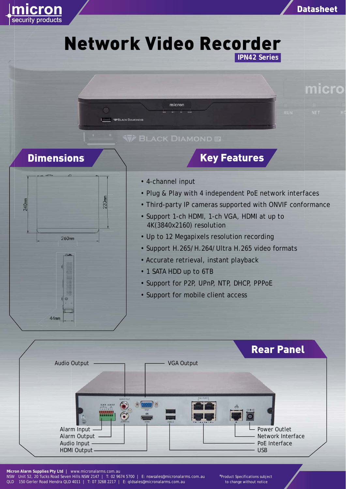

\*Product Specifications subject to change without notice